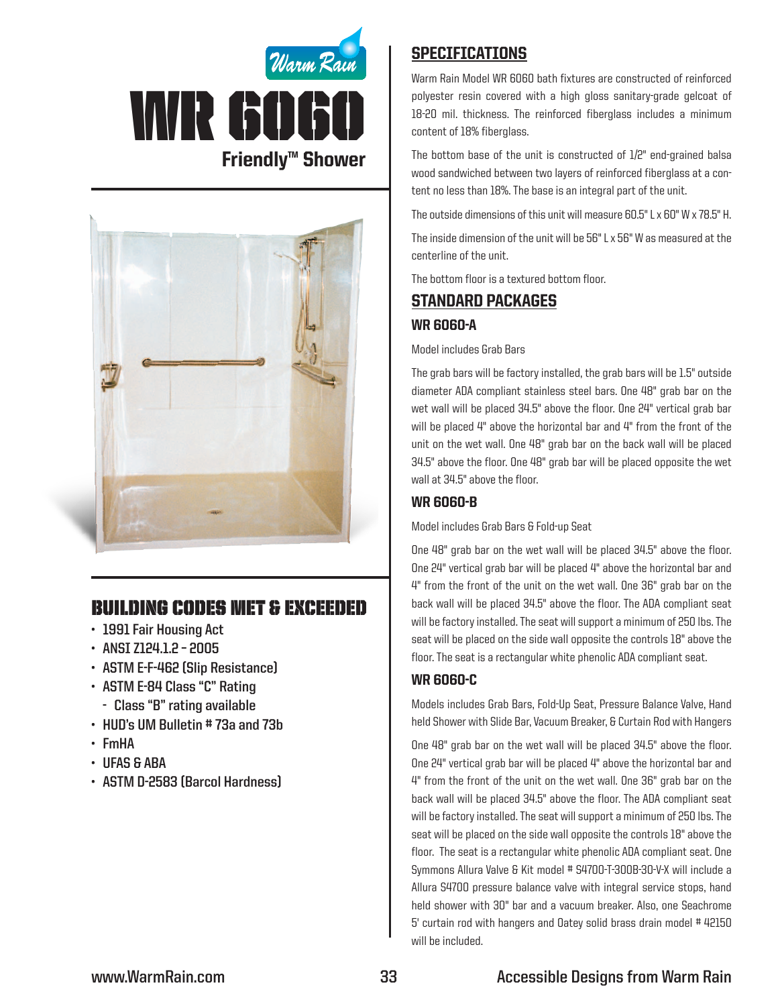



# Building Codes Met & EXCEEDED

- **• 1991 Fair Housing Act**
- **• ANSI Z124.1.2 – 2005**
- **• ASTM E-F-462 (Slip Resistance)**
- **• ASTM E-84 Class "C" Rating**
	- **- Class "B" rating available**
- **• HUD's UM Bulletin # 73a and 73b**
- **• FmHA**
- **• UFAS & ABA**
- **• ASTM D-2583 (Barcol Hardness)**

## **SPECIFICATIONS**

Warm Rain Model WR 6060 bath fixtures are constructed of reinforced polyester resin covered with a high gloss sanitary-grade gelcoat of 18-20 mil. thickness. The reinforced fiberglass includes a minimum content of 18% fiberglass.

The bottom base of the unit is constructed of 1/2" end-grained balsa wood sandwiched between two layers of reinforced fiberglass at a content no less than 18%. The base is an integral part of the unit.

The outside dimensions of this unit will measure 60.5" L x 60" W x 78.5" H.

The inside dimension of the unit will be 56" L x 56" W as measured at the centerline of the unit.

The bottom floor is a textured bottom floor.

# Standard packages

## WR 6060-A

Model includes Grab Bars

The grab bars will be factory installed, the grab bars will be 1.5" outside diameter ADA compliant stainless steel bars. One 48" grab bar on the wet wall will be placed 34.5" above the floor. One 24" vertical grab bar will be placed 4" above the horizontal bar and 4" from the front of the unit on the wet wall. One 48" grab bar on the back wall will be placed 34.5" above the floor. One 48" grab bar will be placed opposite the wet wall at 34.5" above the floor.

## WR 6060-B

Model includes Grab Bars & Fold-up Seat

One 48" grab bar on the wet wall will be placed 34.5" above the floor. One 24" vertical grab bar will be placed 4" above the horizontal bar and 4" from the front of the unit on the wet wall. One 36" grab bar on the back wall will be placed 34.5" above the floor. The ADA compliant seat will be factory installed. The seat will support a minimum of 250 lbs. The seat will be placed on the side wall opposite the controls 18" above the floor. The seat is a rectangular white phenolic ADA compliant seat.

## WR 6060-C

Models includes Grab Bars, Fold-Up Seat, Pressure Balance Valve, Hand held Shower with Slide Bar, Vacuum Breaker, & Curtain Rod with Hangers

One 48" grab bar on the wet wall will be placed 34.5" above the floor. One 24" vertical grab bar will be placed 4" above the horizontal bar and 4" from the front of the unit on the wet wall. One 36" grab bar on the back wall will be placed 34.5" above the floor. The ADA compliant seat will be factory installed. The seat will support a minimum of 250 lbs. The seat will be placed on the side wall opposite the controls 18" above the floor. The seat is a rectangular white phenolic ADA compliant seat. One Symmons Allura Valve & Kit model # S4700-T-300B-30-V-X will include a Allura S4700 pressure balance valve with integral service stops, hand held shower with 30" bar and a vacuum breaker. Also, one Seachrome 5' curtain rod with hangers and Oatey solid brass drain model # 42150 will be included.

## **www.WarmRain.com 33 Accessible Designs from Warm Rain**